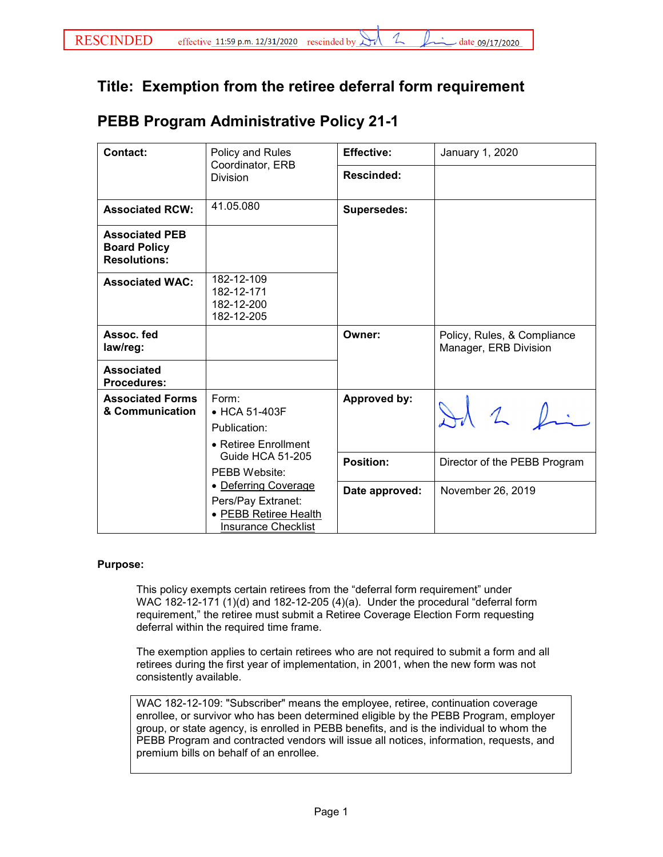## **Title: Exemption from the retiree deferral form requirement**

## **PEBB Program Administrative Policy 21-1**

| <b>Contact:</b>                                                     | Policy and Rules<br>Coordinator, ERB<br><b>Division</b>                                                                                                                                                         | <b>Effective:</b>  | January 1, 2020                                      |
|---------------------------------------------------------------------|-----------------------------------------------------------------------------------------------------------------------------------------------------------------------------------------------------------------|--------------------|------------------------------------------------------|
|                                                                     |                                                                                                                                                                                                                 | Rescinded:         |                                                      |
| <b>Associated RCW:</b>                                              | 41.05.080                                                                                                                                                                                                       | <b>Supersedes:</b> |                                                      |
| <b>Associated PEB</b><br><b>Board Policy</b><br><b>Resolutions:</b> |                                                                                                                                                                                                                 |                    |                                                      |
| <b>Associated WAC:</b>                                              | 182-12-109<br>182-12-171<br>182-12-200<br>182-12-205                                                                                                                                                            |                    |                                                      |
| Assoc. fed<br>law/reg:                                              |                                                                                                                                                                                                                 | Owner:             | Policy, Rules, & Compliance<br>Manager, ERB Division |
| <b>Associated</b><br><b>Procedures:</b>                             |                                                                                                                                                                                                                 |                    |                                                      |
| <b>Associated Forms</b><br>& Communication                          | Form:<br>• HCA 51-403F<br>Publication:<br>• Retiree Enrollment<br><b>Guide HCA 51-205</b><br>PEBB Website:<br>• Deferring Coverage<br>Pers/Pay Extranet:<br>• PEBB Retiree Health<br><b>Insurance Checklist</b> | Approved by:       |                                                      |
|                                                                     |                                                                                                                                                                                                                 | <b>Position:</b>   | Director of the PEBB Program                         |
|                                                                     |                                                                                                                                                                                                                 | Date approved:     | November 26, 2019                                    |

## **Purpose:**

This policy exempts certain retirees from the "deferral form requirement" under WAC 182-12-171 (1)(d) and 182-12-205 (4)(a). Under the procedural "deferral form requirement," the retiree must submit a Retiree Coverage Election Form requesting deferral within the required time frame.

The exemption applies to certain retirees who are not required to submit a form and all retirees during the first year of implementation, in 2001, when the new form was not consistently available.

WAC 182-12-109: "Subscriber" means the employee, retiree, continuation coverage enrollee, or survivor who has been determined eligible by the PEBB Program, employer group, or state agency, is enrolled in PEBB benefits, and is the individual to whom the PEBB Program and contracted vendors will issue all notices, information, requests, and premium bills on behalf of an enrollee.